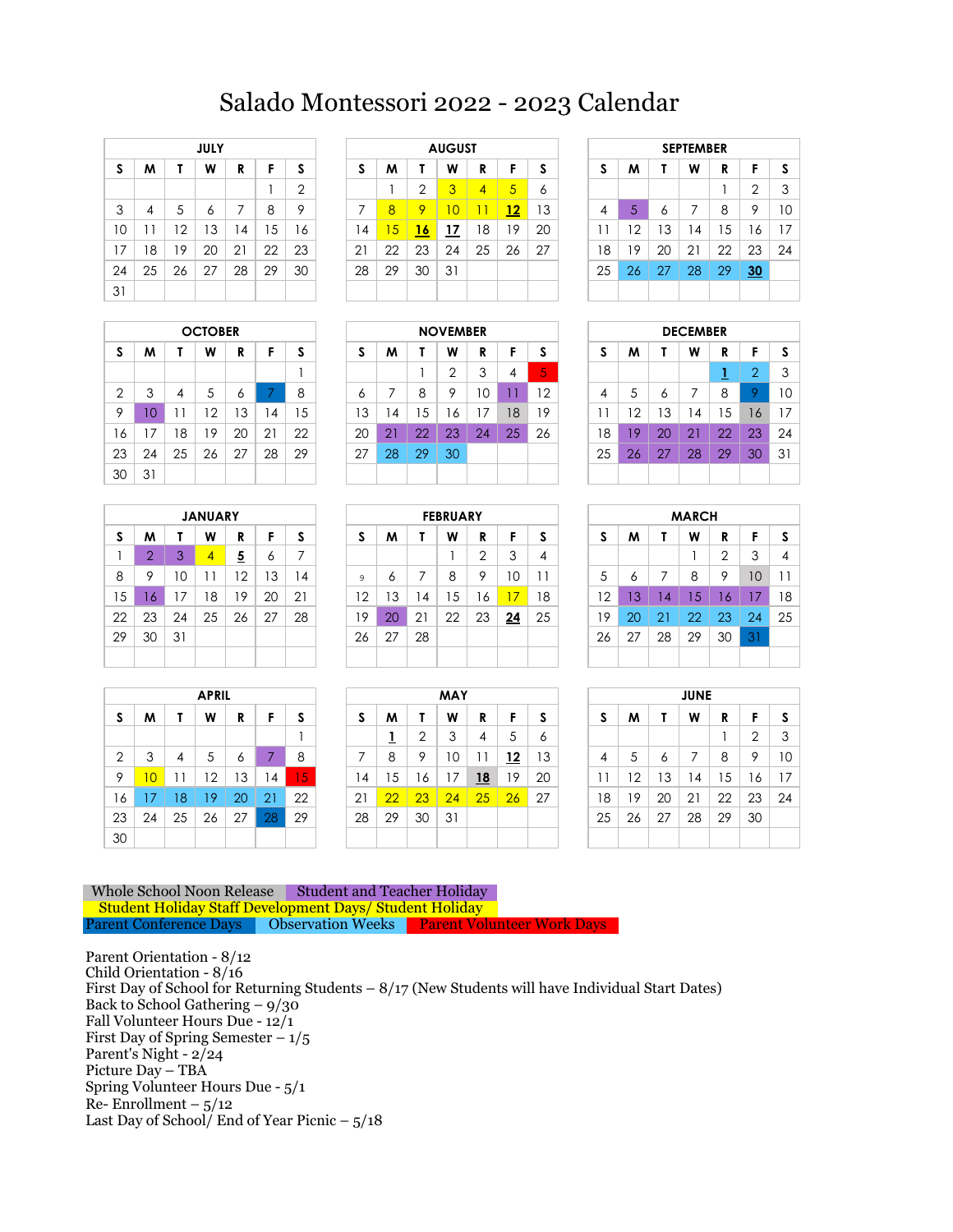## Salado Montessori 2022 - 2023 Calendar

|    |    |    | <b>JULY</b> |    |    |                |
|----|----|----|-------------|----|----|----------------|
| S  | м  | Τ  | W           | R  | F  | S              |
|    |    |    |             |    | 1  | $\overline{2}$ |
| 3  | 4  | 5  | 6           | 7  | 8  | 9              |
| 10 | 11 | 12 | 13          | 14 | 15 | 16             |
| 17 | 18 | 19 | 20          | 21 | 22 | 23             |
| 24 | 25 | 26 | 27          | 28 | 29 | 30             |
| 31 |    |    |             |    |    |                |

|    | <b>OCTOBER</b> |                |    |    |    |    |  |  |  |  |  |  |  |
|----|----------------|----------------|----|----|----|----|--|--|--|--|--|--|--|
| S  | м              | Т              | W  | R  | F  | S  |  |  |  |  |  |  |  |
|    |                |                |    |    |    |    |  |  |  |  |  |  |  |
| 2  | 3              | $\overline{4}$ | 5  | 6  | 7  | 8  |  |  |  |  |  |  |  |
| 9  | 10             | 11             | 12 | 13 | 14 | 15 |  |  |  |  |  |  |  |
| 16 | 17             | 18             | 19 | 20 | 21 | 22 |  |  |  |  |  |  |  |
| 23 | 24             | 25             | 26 | 27 | 28 | 29 |  |  |  |  |  |  |  |
| 30 | 31             |                |    |    |    |    |  |  |  |  |  |  |  |

|    |                |    | <b>JANUARY</b> |                |    |    |
|----|----------------|----|----------------|----------------|----|----|
| S  | M              | Т  | W              | R              | F  | S  |
| 1  | $\overline{2}$ | 3  | $\overline{4}$ | $\overline{5}$ | 6  | 7  |
| 8  | 9              | 10 | 11             | 12             | 13 | 14 |
| 15 | 16             | 17 | 18             | 19             | 20 | 21 |
| 22 | 23             | 24 | 25             | 26             | 27 | 28 |
| 29 | 30             | 31 |                |                |    |    |
|    |                |    |                |                |    |    |

|    |    |    | <b>APRIL</b> |    |    |    |
|----|----|----|--------------|----|----|----|
| S  | M  | Τ  | W            | R  | F  | S  |
|    |    |    |              |    |    | 1  |
| 2  | 3  | 4  | 5            | 6  | 7  | 8  |
| 9  | 10 | 11 | 12           | 13 | 14 | 15 |
| 16 | 17 | 18 | 19           | 20 | 21 | 22 |
| 23 | 24 | 25 | 26           | 27 | 28 | 29 |
| 30 |    |    |              |    |    |    |

|    |    |    | <b>JULY</b> |                |    |        |     |    |    | <b>AUGUST</b> |    |                |    |    |    |    | <b>SEPTEMBER</b> |    |    |    |
|----|----|----|-------------|----------------|----|--------|-----|----|----|---------------|----|----------------|----|----|----|----|------------------|----|----|----|
| S  | M  |    | W           | R              |    | e<br>a | C   | M  |    | W             | R  | c              | z  | J. | м  |    | W                | R  |    | -S |
|    |    |    |             |                |    | っ      |     |    | ⌒  | 3             | 4  | $\overline{5}$ | Ô  |    |    |    |                  |    | C  | 3  |
| 3  | 4  | ა  | Ô           |                | 8  | 9      |     | 8  | o  |               |    | 12             | 13 | 4  | ь  | Ô  |                  | 8  | 9  | 10 |
| 10 | ľ  | 2  | Ι3          | $\overline{4}$ | 5  | 16     | ا 4 | 15 | 16 | 17            | 18 | 19             | 20 |    | 2  | 13 | $\overline{4}$   | 5  | 6  | 17 |
| 17 | 8  | 19 | 20          | 21             | 22 | 23     | 21  | 22 | 23 | 24            | 25 | 26             | 27 | 18 | 9  | 20 | 21               | 22 | 23 | 24 |
| 24 | 25 | 26 | 27          | 28             | 29 | 30     | 28  | 29 | 30 | 31            |    |                |    | 25 | 26 | 27 | 28               | 29 | 30 |    |
| 31 |    |    |             |                |    |        |     |    |    |               |    |                |    |    |    |    |                  |    |    |    |

|                |          |    | <b>OCTOBER</b> |        |                |    |    |             |     | <b>NOVEMBER</b> |    |    |              |    |    |    | <b>DECEMBER</b> |    |    |    |
|----------------|----------|----|----------------|--------|----------------|----|----|-------------|-----|-----------------|----|----|--------------|----|----|----|-----------------|----|----|----|
| S              | M        |    | W              | D<br>ĸ |                | S  | C  | M           |     | W               | R  |    | z            | J. | M  |    | W               | R  |    | -S |
|                |          |    |                |        |                |    |    |             |     | ◠               | 3  | 4  | G.<br>$\sim$ |    |    |    |                 | -  | ⌒  | 3  |
| $\overline{2}$ | 3        | 4  | 5              | o      |                | 8  | Ô  |             | 8   | Q               | 0  |    | 2            | 4  | ∽  | O  |                 | 8  | Ο  | 10 |
| 9              | $\Omega$ |    | 12             | 3      | 4              | 15 | 13 | 4           | . 5 | 6               |    | 18 | 19           |    | 2  | 3  | $\overline{4}$  | 15 | 6  | 17 |
| 16             | 7        | 18 | 19             | 20     | 2 <sup>1</sup> | 22 | 20 | $2^{\circ}$ | 22  | 23              | 24 | 25 | 26           | 18 | 19 | 20 | 21              | 22 | 23 | 24 |
| 23.            | 24       | 25 | 26             | 27     | 28             | 29 | 27 | 28          | 29  | 30              |    |    |              | 25 | 26 | 27 | 28              | 29 | 30 | 31 |
| 30             | 31       |    |                |        |                |    |    |             |     |                 |    |    |              |    |    |    |                 |    |    |    |

|    |    |     | <b>JANUARY</b> |             |    |        |    |    |                | <b>FEBRUARY</b> |    |    |    |                |     |                 | <b>MARCH</b> |    |    |    |
|----|----|-----|----------------|-------------|----|--------|----|----|----------------|-----------------|----|----|----|----------------|-----|-----------------|--------------|----|----|----|
| S  | M  |     | W              | R           |    | e<br>c | a. | M  |                | W               | R  | Е  | z  | a              | M   |                 | W            | R  |    | S. |
|    | റ  | 3   | 4              | <u>5</u>    | O  | ⇁      |    |    |                |                 | ◠  | 3  | 4  |                |     |                 |              | ◠  | 3  | 4  |
| 8  | Q  | 0   |                | $^{\circ}2$ | ۱3 | 14     | 9  | 6  |                | 8               | 9  | 10 |    | 5              |     |                 | 8            | 9  | 10 |    |
| 15 | 6  | . 7 | 18             | 19          | 20 | 21     | 12 | IЗ | $\overline{4}$ | 5               | 6  | 7  | 18 | $\overline{2}$ | 137 | 14              | $\sqrt{5}$   | 16 |    | 18 |
| 22 | 23 | 24  | 25             | 26          | 27 | 28     | 19 | 20 | 21             | 22              | 23 | 24 | 25 | 19             | 20  | $\vert 2 \vert$ | 22           | 23 | 24 | 25 |
| 29 | 30 | 31  |                |             |    |        | 26 | 27 | 28             |                 |    |    |    | 26             | 27  | 28              | 29           | 30 | 31 |    |
|    |    |     |                |             |    |        |    |    |                |                 |    |    |    |                |     |                 |              |    |    |    |

|                |                  |    | <b>APRIL</b> |    |    |               |    |    |    | <b>MAY</b> |    |            |    |    |    |    | <b>JUNE</b> |    |  |
|----------------|------------------|----|--------------|----|----|---------------|----|----|----|------------|----|------------|----|----|----|----|-------------|----|--|
| S              | W<br>S<br>M<br>R |    |              |    |    | S             | M  |    | W  | R          | F  | S          | S  | M  |    | W  | R           |    |  |
|                |                  |    |              |    |    |               |    |    | 2  | 3          | 4  | 5          | 6  |    |    |    |             |    |  |
| $\overline{2}$ | 3                | 4  | 5            | 6  |    | 8             |    | 8  | 9  | 10         |    | <u> 12</u> | 13 | 4  | 5  | Ô  |             | 8  |  |
| 9              | 10               |    | $12 \,$      | 13 | 14 | $\mathbf{15}$ | 14 | 15 | 16 | 17         | 18 | 19         | 20 | 11 | 12 | 13 | ۱4          | 15 |  |
| 16             | 7                | 18 | 19           | 20 | 21 | 22            | 21 | 22 | 23 | 24         | 25 | 26         | 27 | 18 | 19 | 20 | 21          | 22 |  |
| 23             | 24               | 25 | 26           | 27 | 28 | 29            | 28 | 29 | 30 | 31         |    |            |    | 25 | 26 | 27 | 28          | 29 |  |
| 30             |                  |    |              |    |    |               |    |    |    |            |    |            |    |    |    |    |             |    |  |

|    | <b>SEPTEMBER</b>      |    |    |    |                |    |  |  |  |  |  |  |  |  |
|----|-----------------------|----|----|----|----------------|----|--|--|--|--|--|--|--|--|
| S  | F<br>м<br>W<br>R<br>т |    |    |    |                |    |  |  |  |  |  |  |  |  |
|    |                       |    |    | 1  | $\overline{2}$ | 3  |  |  |  |  |  |  |  |  |
| 4  | 5                     | 6  | 7  | 8  | 9              | 10 |  |  |  |  |  |  |  |  |
| 11 | 12                    | 13 | 14 | 15 | 16             | 17 |  |  |  |  |  |  |  |  |
| 18 | 19                    | 20 | 21 | 22 | 23             | 24 |  |  |  |  |  |  |  |  |
| 25 | 26                    | 27 | 28 | 29 | 30             |    |  |  |  |  |  |  |  |  |
|    |                       |    |    |    |                |    |  |  |  |  |  |  |  |  |

| <b>DECEMBER</b>                 |    |    |    |    |                |    |  |  |  |  |  |  |
|---------------------------------|----|----|----|----|----------------|----|--|--|--|--|--|--|
| S<br>S<br>R<br>F<br>м<br>W<br>т |    |    |    |    |                |    |  |  |  |  |  |  |
|                                 |    |    |    | 1  | $\overline{2}$ | 3  |  |  |  |  |  |  |
| 4                               | 5  | 6  | 7  | 8  | 9              | 10 |  |  |  |  |  |  |
| 11                              | 12 | 13 | 14 | 15 | 16             | 17 |  |  |  |  |  |  |
| 18                              | 19 | 20 | 21 | 22 | 23             | 24 |  |  |  |  |  |  |
| 25                              | 26 | 27 | 28 | 29 | 30             | 31 |  |  |  |  |  |  |
|                                 |    |    |    |    |                |    |  |  |  |  |  |  |

|                            | <b>MARCH</b> |    |    |                |    |                |  |  |  |  |  |  |  |
|----------------------------|--------------|----|----|----------------|----|----------------|--|--|--|--|--|--|--|
| S<br>F<br>м<br>W<br>R<br>т |              |    |    |                |    |                |  |  |  |  |  |  |  |
|                            |              |    | 1  | $\overline{2}$ | 3  | $\overline{4}$ |  |  |  |  |  |  |  |
| 5                          | 6            | 7  | 8  | 9              | 10 | 11             |  |  |  |  |  |  |  |
| 12                         | 13           | 14 | 15 | 16             | 17 | 18             |  |  |  |  |  |  |  |
| 19                         | 20           | 21 | 22 | 23             | 24 | 25             |  |  |  |  |  |  |  |
| 26                         | 27           | 28 | 29 | 30             | 31 |                |  |  |  |  |  |  |  |
|                            |              |    |    |                |    |                |  |  |  |  |  |  |  |

| JUNE |    |    |    |    |                |    |  |  |  |  |  |  |
|------|----|----|----|----|----------------|----|--|--|--|--|--|--|
| S    | М  | т  | W  | R  | F              | S  |  |  |  |  |  |  |
|      |    |    |    | 1  | $\overline{2}$ | 3  |  |  |  |  |  |  |
| 4    | 5  | 6  | 7  | 8  | 9              | 10 |  |  |  |  |  |  |
| 11   | 12 | 13 | 14 | 15 | 16             | 17 |  |  |  |  |  |  |
| 18   | 19 | 20 | 21 | 22 | 23             | 24 |  |  |  |  |  |  |
| 25   | 26 | 27 | 28 | 29 | 30             |    |  |  |  |  |  |  |
|      |    |    |    |    |                |    |  |  |  |  |  |  |

Parent Conference Days Observation WeeksWhole School Noon Release Student and Teacher Holiday Student Holiday Staff Development Days/ Student Holiday **Parent Volunteer W** 

Child Orientation - 8/16 Parent Orientation - 8/12

First Day of School for Returning Students – 8/17 (New Students will have Individual Start Dates) Back to School Gathering  $-9/30$ Fall Volunteer Hours Due - 12/1 First Day of Spring Semester  $-1/5$ Parent's Night - 2/24 Picture Day – TBA Spring Volunteer Hours Due - 5/1 Re-Enrollment –  $5/12$ Last Day of School/ End of Year Picnic – 5/18